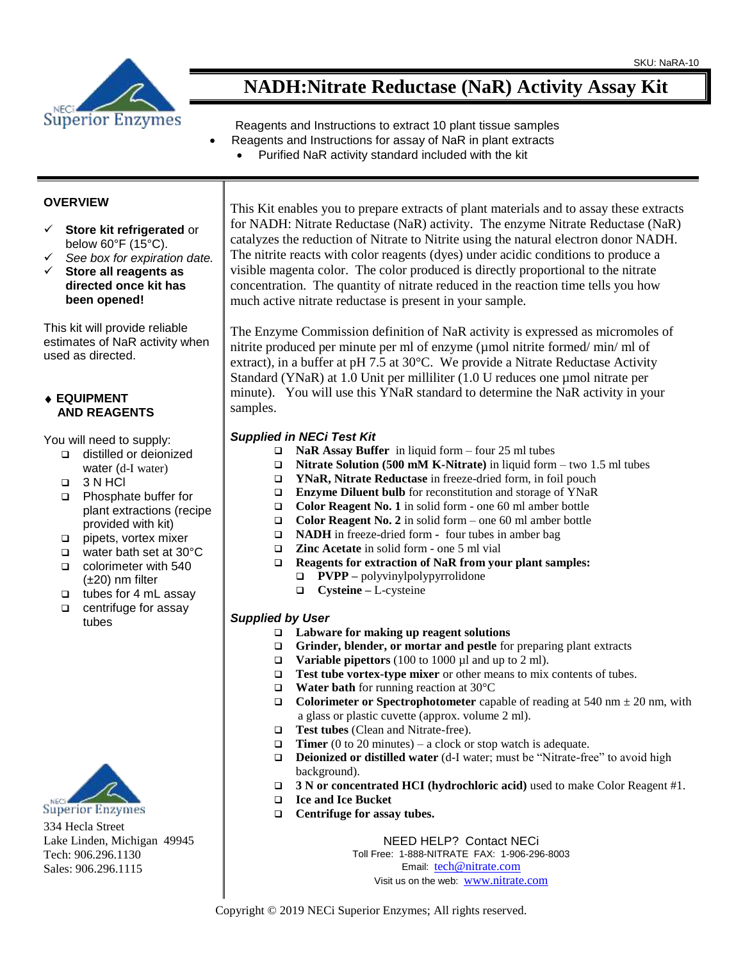

# **NADH:Nitrate Reductase (NaR) Activity Assay Kit**

Reagents and Instructions to extract 10 plant tissue samples

- Reagents and Instructions for assay of NaR in plant extracts
	- Purified NaR activity standard included with the kit

#### **OVERVIEW**

- **Store kit refrigerated** or below 60°F (15°C).
- *See box for expiration date.*
- **Store all reagents as directed once kit has been opened!**

This kit will provide reliable estimates of NaR activity when used as directed.

#### **EQUIPMENT AND REAGENTS**

You will need to supply:

- distilled or deionized water (d-I water)
- 3 N HCl
- □ Phosphate buffer for plant extractions (recipe provided with kit)
- pipets, vortex mixer
- water bath set at 30°C
- colorimeter with 540  $(\pm 20)$  nm filter
- tubes for 4 mL assay
- $\Box$  centrifuge for assay tubes



334 Hecla Street Lake Linden, Michigan 49945 Tech: 906.296.1130 Sales: 906.296.1115

This Kit enables you to prepare extracts of plant materials and to assay these extracts for NADH: Nitrate Reductase (NaR) activity. The enzyme Nitrate Reductase (NaR) catalyzes the reduction of Nitrate to Nitrite using the natural electron donor NADH. The nitrite reacts with color reagents (dyes) under acidic conditions to produce a visible magenta color. The color produced is directly proportional to the nitrate concentration. The quantity of nitrate reduced in the reaction time tells you how much active nitrate reductase is present in your sample.

The Enzyme Commission definition of NaR activity is expressed as micromoles of nitrite produced per minute per ml of enzyme (µmol nitrite formed/ min/ ml of extract), in a buffer at pH 7.5 at  $30^{\circ}$ C. We provide a Nitrate Reductase Activity Standard (YNaR) at 1.0 Unit per milliliter (1.0 U reduces one umol nitrate per minute). You will use this YNaR standard to determine the NaR activity in your samples.

#### *Supplied in NECi Test Kit*

- **NaR Assay Buffer** in liquid form four 25 ml tubes
- **Nitrate Solution (500 mM K-Nitrate)** in liquid form two 1.5 ml tubes
- **YNaR, Nitrate Reductase** in freeze-dried form, in foil pouch
- **Enzyme Diluent bulb** for reconstitution and storage of YNaR
- **Color Reagent No. 1** in solid form one 60 ml amber bottle
- **Color Reagent No. 2** in solid form one 60 ml amber bottle
- **NADH** in freeze-dried form **-** four tubes in amber bag
- **Zinc Acetate** in solid form one 5 ml vial
- **Reagents for extraction of NaR from your plant samples:**
	- **PVPP –** polyvinylpolypyrrolidone
	- **Cysteine –** L-cysteine

#### *Supplied by User*

- **Labware for making up reagent solutions**
- **Grinder, blender, or mortar and pestle** for preparing plant extracts
- **Variable pipettors** (100 to 1000 µl and up to 2 ml).
- **Test tube vortex-type mixer** or other means to mix contents of tubes.
- **Water bath** for running reaction at 30°C
- **Colorimeter or Spectrophotometer** capable of reading at 540 nm  $\pm$  20 nm, with a glass or plastic cuvette (approx. volume 2 ml).
- **Test tubes** (Clean and Nitrate-free).
- **Timer** (0 to 20 minutes) a clock or stop watch is adequate.
- **Deionized or distilled water** (d-I water; must be "Nitrate-free" to avoid high background).
- **3 N or concentrated HCI** (hydrochloric acid) used to make Color Reagent #1.
- **Ice and Ice Bucket**
- **Centrifuge for assay tubes.**

NEED HELP? Contact NECi

Toll Free: 1-888-NITRATE FAX: 1-906-296-8003 Email: [tech@nitrate.com](mailto:tech@nitrate.com) Visit us on the web: [www.nitrate.com](http://www.nitrate.com/)

Copyright © 2019 NECi Superior Enzymes; All rights reserved.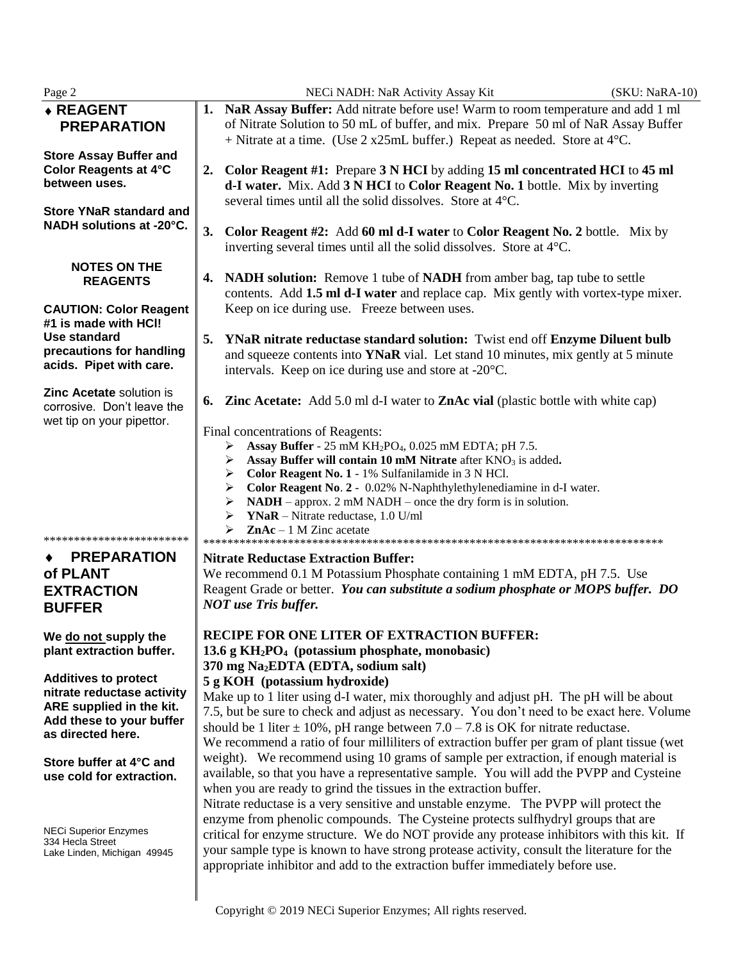| Page 2                                                                                                                                 | NECi NADH: NaR Activity Assay Kit<br>(SKU: NaRA-10)                                                                                                                                                                                                                                                                                                                                                                                                                                                      |
|----------------------------------------------------------------------------------------------------------------------------------------|----------------------------------------------------------------------------------------------------------------------------------------------------------------------------------------------------------------------------------------------------------------------------------------------------------------------------------------------------------------------------------------------------------------------------------------------------------------------------------------------------------|
| ◆ REAGENT<br><b>PREPARATION</b>                                                                                                        | 1. NaR Assay Buffer: Add nitrate before use! Warm to room temperature and add 1 ml<br>of Nitrate Solution to 50 mL of buffer, and mix. Prepare 50 ml of NaR Assay Buffer<br>+ Nitrate at a time. (Use 2 x25mL buffer.) Repeat as needed. Store at 4°C.                                                                                                                                                                                                                                                   |
| <b>Store Assay Buffer and</b><br>Color Reagents at 4°C<br>between uses.                                                                | 2. Color Reagent #1: Prepare 3 N HCI by adding 15 ml concentrated HCI to 45 ml<br>d-I water. Mix. Add 3 N HCI to Color Reagent No. 1 bottle. Mix by inverting                                                                                                                                                                                                                                                                                                                                            |
| <b>Store YNaR standard and</b><br>NADH solutions at -20°C.                                                                             | several times until all the solid dissolves. Store at 4°C.<br>Color Reagent #2: Add 60 ml d-I water to Color Reagent No. 2 bottle. Mix by<br>3.<br>inverting several times until all the solid dissolves. Store at 4°C.                                                                                                                                                                                                                                                                                  |
| <b>NOTES ON THE</b><br><b>REAGENTS</b>                                                                                                 | <b>4. NADH solution:</b> Remove 1 tube of <b>NADH</b> from amber bag, tap tube to settle<br>contents. Add 1.5 ml d-I water and replace cap. Mix gently with vortex-type mixer.                                                                                                                                                                                                                                                                                                                           |
| <b>CAUTION: Color Reagent</b><br>#1 is made with HCI!<br><b>Use standard</b>                                                           | Keep on ice during use. Freeze between uses.<br>YNaR nitrate reductase standard solution: Twist end off Enzyme Diluent bulb<br>5.                                                                                                                                                                                                                                                                                                                                                                        |
| precautions for handling<br>acids. Pipet with care.                                                                                    | and squeeze contents into YNaR vial. Let stand 10 minutes, mix gently at 5 minute<br>intervals. Keep on ice during use and store at -20°C.                                                                                                                                                                                                                                                                                                                                                               |
| <b>Zinc Acetate solution is</b><br>corrosive. Don't leave the<br>wet tip on your pipettor.                                             | Zinc Acetate: Add 5.0 ml d-I water to ZnAc vial (plastic bottle with white cap)<br>6.<br>Final concentrations of Reagents:                                                                                                                                                                                                                                                                                                                                                                               |
| ************************                                                                                                               | Assay Buffer - 25 mM KH <sub>2</sub> PO <sub>4</sub> , 0.025 mM EDTA; pH 7.5.<br>≻<br>$\triangleright$ Assay Buffer will contain 10 mM Nitrate after KNO <sub>3</sub> is added.<br>$\triangleright$ Color Reagent No. 1 - 1% Sulfanilamide in 3 N HCl.<br>Color Reagent No. 2 - 0.02% N-Naphthylethylenediamine in d-I water.<br>≻<br>$NADH$ – approx. 2 mM NADH – once the dry form is in solution.<br>≻<br><b>YNaR</b> – Nitrate reductase, $1.0$ U/ml<br>➤<br>$\mathbf{ZnAc} - 1$ M Zinc acetate<br>⋗ |
| <b>PREPARATION</b>                                                                                                                     | <b>Nitrate Reductase Extraction Buffer:</b>                                                                                                                                                                                                                                                                                                                                                                                                                                                              |
| of PLANT<br><b>EXTRACTION</b><br><b>BUFFER</b>                                                                                         | We recommend 0.1 M Potassium Phosphate containing 1 mM EDTA, pH 7.5. Use<br>Reagent Grade or better. You can substitute a sodium phosphate or MOPS buffer. DO<br><b>NOT</b> use Tris buffer.                                                                                                                                                                                                                                                                                                             |
| We do not supply the<br>plant extraction buffer.                                                                                       | RECIPE FOR ONE LITER OF EXTRACTION BUFFER:<br>13.6 g KH <sub>2</sub> PO <sub>4</sub> (potassium phosphate, monobasic)<br>370 mg Na <sub>2</sub> EDTA (EDTA, sodium salt)                                                                                                                                                                                                                                                                                                                                 |
| <b>Additives to protect</b><br>nitrate reductase activity<br>ARE supplied in the kit.<br>Add these to your buffer<br>as directed here. | 5 g KOH (potassium hydroxide)<br>Make up to 1 liter using d-I water, mix thoroughly and adjust pH. The pH will be about<br>7.5, but be sure to check and adjust as necessary. You don't need to be exact here. Volume<br>should be 1 liter $\pm$ 10%, pH range between 7.0 – 7.8 is OK for nitrate reductase.<br>We recommend a ratio of four milliliters of extraction buffer per gram of plant tissue (wet                                                                                             |
| Store buffer at 4°C and<br>use cold for extraction.                                                                                    | weight). We recommend using 10 grams of sample per extraction, if enough material is<br>available, so that you have a representative sample. You will add the PVPP and Cysteine<br>when you are ready to grind the tissues in the extraction buffer.<br>Nitrate reductase is a very sensitive and unstable enzyme. The PVPP will protect the                                                                                                                                                             |
| <b>NECi Superior Enzymes</b><br>334 Hecla Street<br>Lake Linden, Michigan 49945                                                        | enzyme from phenolic compounds. The Cysteine protects sulfhydryl groups that are<br>critical for enzyme structure. We do NOT provide any protease inhibitors with this kit. If<br>your sample type is known to have strong protease activity, consult the literature for the<br>appropriate inhibitor and add to the extraction buffer immediately before use.                                                                                                                                           |
|                                                                                                                                        | Copyright © 2019 NECi Superior Enzymes; All rights reserved.                                                                                                                                                                                                                                                                                                                                                                                                                                             |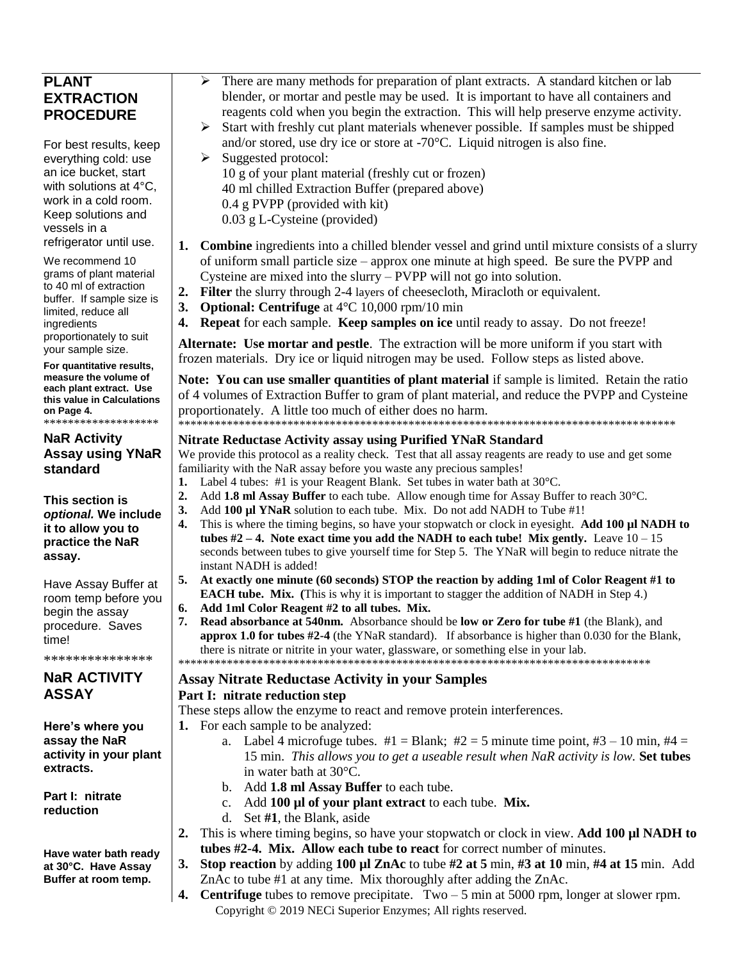## **PLANT EXTRACTION PROCEDURE**

For best results, keep everything cold: use an ice bucket, start with solutions at 4°C, work in a cold room. Keep solutions and vessels in a refrigerator until use.

We recommend 10 grams of plant material to 40 ml of extraction buffer. If sample size is limited, reduce all ingredients proportionately to suit your sample size.

**For quantitative results, measure the volume of each plant extract. Use this value in Calculations on Page 4.** \*\*\*\*\*\*\*\*\*\*\*\*\*\*\*\*\*\*\*

#### **NaR Activity Assay using YNaR standard**

#### **This section is**  *optional.* **We include it to allow you to practice the NaR assay.**

Have Assay Buffer at room temp before you begin the assay procedure. Saves time!

\*\*\*\*\*\*\*\*\*\*\*\*\*\*\*

### **NaR ACTIVITY ASSAY**

**Here's where you assay the NaR activity in your plant extracts.**

**Part I: nitrate reduction**

**Have water bath ready at 30°C. Have Assay Buffer at room temp.**

- $\triangleright$  There are many methods for preparation of plant extracts. A standard kitchen or lab blender, or mortar and pestle may be used. It is important to have all containers and reagents cold when you begin the extraction. This will help preserve enzyme activity.
- $\triangleright$  Start with freshly cut plant materials whenever possible. If samples must be shipped and/or stored, use dry ice or store at -70°C. Liquid nitrogen is also fine.
- $\triangleright$  Suggested protocol: 10 g of your plant material (freshly cut or frozen)
	- 40 ml chilled Extraction Buffer (prepared above)
	- 0.4 g PVPP (provided with kit)
	- 0.03 g L-Cysteine (provided)
- **1. Combine** ingredients into a chilled blender vessel and grind until mixture consists of a slurry of uniform small particle size – approx one minute at high speed. Be sure the PVPP and Cysteine are mixed into the slurry – PVPP will not go into solution.
- **2. Filter** the slurry through 2-4 layers of cheesecloth, Miracloth or equivalent.
- **3. Optional: Centrifuge** at 4°C 10,000 rpm/10 min
- **4. Repeat** for each sample. **Keep samples on ice** until ready to assay. Do not freeze!

**Alternate: Use mortar and pestle**. The extraction will be more uniform if you start with frozen materials. Dry ice or liquid nitrogen may be used. Follow steps as listed above.

**Note: You can use smaller quantities of plant material** if sample is limited. Retain the ratio of 4 volumes of Extraction Buffer to gram of plant material, and reduce the PVPP and Cysteine proportionately. A little too much of either does no harm. \*\*\*\*\*\*\*\*\*\*\*\*\*\*\*\*\*\*\*\*\*\*\*\*\*\*\*\*\*\*\*\*\*\*\*\*\*\*\*\*\*\*\*\*\*\*\*\*\*\*\*\*\*\*\*\*\*\*\*\*\*\*\*\*\*\*\*\*\*\*\*\*\*\*\*\*\*\*\*\*\*\*

## **Nitrate Reductase Activity assay using Purified YNaR Standard**

We provide this protocol as a reality check. Test that all assay reagents are ready to use and get some familiarity with the NaR assay before you waste any precious samples!

- **1.** Label 4 tubes: #1 is your Reagent Blank. Set tubes in water bath at 30°C.
- **2.** Add **1.8 ml Assay Buffer** to each tube. Allow enough time for Assay Buffer to reach 30°C.
- **3.** Add **100 µl YNaR** solution to each tube. Mix. Do not add NADH to Tube #1!
- **4.** This is where the timing begins, so have your stopwatch or clock in eyesight. **Add 100 µl NADH to tubes**  $#2 - 4$ **.** Note exact time you add the NADH to each tube! Mix gently. Leave  $10 - 15$ seconds between tubes to give yourself time for Step 5. The YNaR will begin to reduce nitrate the instant NADH is added!
- **5. At exactly one minute (60 seconds) STOP the reaction by adding 1ml of Color Reagent #1 to EACH tube. Mix. (**This is why it is important to stagger the addition of NADH in Step 4.)
- **6. Add 1ml Color Reagent #2 to all tubes. Mix.**
- **7. Read absorbance at 540nm.** Absorbance should be **low or Zero for tube #1** (the Blank), and **approx 1.0 for tubes #2-4** (the YNaR standard). If absorbance is higher than 0.030 for the Blank, there is nitrate or nitrite in your water, glassware, or something else in your lab. \*\*\*\*\*\*\*\*\*\*\*\*\*\*\*\*\*\*\*\*\*\*\*\*\*\*\*\*\*\*\*\*\*\*\*\*\*\*\*\*\*\*\*\*\*\*\*\*\*\*\*\*\*\*\*\*\*\*\*\*\*\*\*\*\*\*\*\*\*\*\*\*\*\*\*\*\*\*

## **Assay Nitrate Reductase Activity in your Samples Part I: nitrate reduction step**

These steps allow the enzyme to react and remove protein interferences.

- **1.** For each sample to be analyzed:
	- a. Label 4 microfuge tubes.  $#1 =$ Blank;  $#2 = 5$  minute time point,  $#3 10$  min,  $#4 =$ 15 min. *This allows you to get a useable result when NaR activity is low.* **Set tubes**  in water bath at 30°C.
	- b. Add **1.8 ml Assay Buffer** to each tube.
	- c. Add **100 µl of your plant extract** to each tube. **Mix.**
	- d. Set **#1**, the Blank, aside
- **2.** This is where timing begins, so have your stopwatch or clock in view. **Add 100 µl NADH to tubes #2-4. Mix. Allow each tube to react** for correct number of minutes.
- **3. Stop reaction** by adding **100 µl ZnAc** to tube **#2 at 5** min, **#3 at 10** min, **#4 at 15** min. Add ZnAc to tube #1 at any time. Mix thoroughly after adding the ZnAc.
- Copyright © 2019 NECi Superior Enzymes; All rights reserved. **4. Centrifuge** tubes to remove precipitate. Two – 5 min at 5000 rpm, longer at slower rpm.